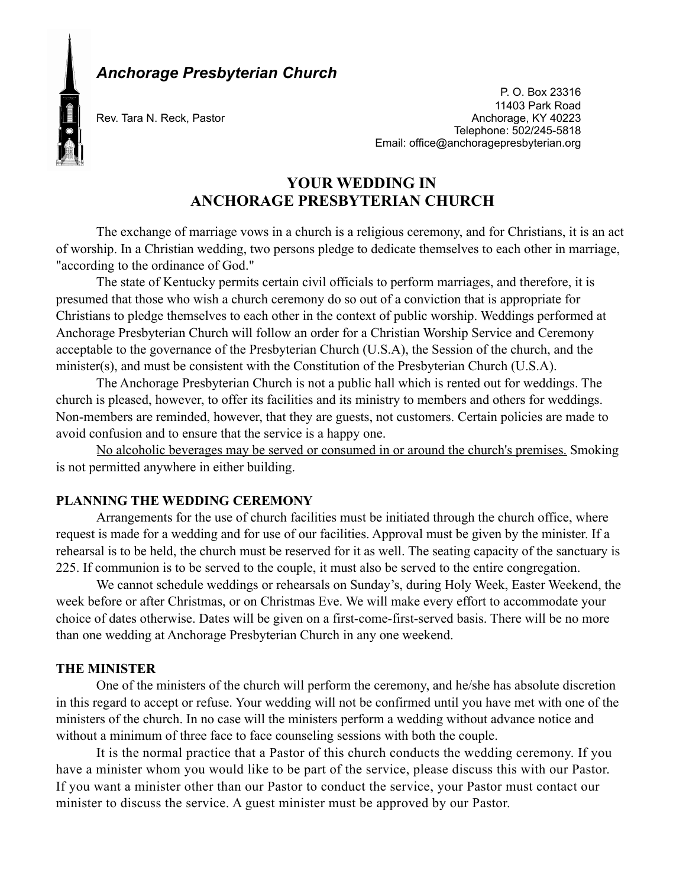

*Anchorage Presbyterian Church* 

Rev. Tara N. Reck, Pastor

P. O. Box 23316 11403 Park Road<br>Anchorage, KY 40223 Telephone: 502/245-5818 Email: office@anchoragepresbyterian.org

# **YOUR WEDDING IN ANCHORAGE PRESBYTERIAN CHURCH**

The exchange of marriage vows in a church is a religious ceremony, and for Christians, it is an act of worship. In a Christian wedding, two persons pledge to dedicate themselves to each other in marriage, "according to the ordinance of God."

The state of Kentucky permits certain civil officials to perform marriages, and therefore, it is presumed that those who wish a church ceremony do so out of a conviction that is appropriate for Christians to pledge themselves to each other in the context of public worship. Weddings performed at Anchorage Presbyterian Church will follow an order for a Christian Worship Service and Ceremony acceptable to the governance of the Presbyterian Church (U.S.A), the Session of the church, and the minister(s), and must be consistent with the Constitution of the Presbyterian Church (U.S.A).

The Anchorage Presbyterian Church is not a public hall which is rented out for weddings. The church is pleased, however, to offer its facilities and its ministry to members and others for weddings. Non-members are reminded, however, that they are guests, not customers. Certain policies are made to avoid confusion and to ensure that the service is a happy one.

No alcoholic beverages may be served or consumed in or around the church's premises. Smoking is not permitted anywhere in either building.

## **PLANNING THE WEDDING CEREMONY**

Arrangements for the use of church facilities must be initiated through the church office, where request is made for a wedding and for use of our facilities. Approval must be given by the minister. If a rehearsal is to be held, the church must be reserved for it as well. The seating capacity of the sanctuary is 225. If communion is to be served to the couple, it must also be served to the entire congregation.

We cannot schedule weddings or rehearsals on Sunday's, during Holy Week, Easter Weekend, the week before or after Christmas, or on Christmas Eve. We will make every effort to accommodate your choice of dates otherwise. Dates will be given on a first-come-first-served basis. There will be no more than one wedding at Anchorage Presbyterian Church in any one weekend.

## **THE MINISTER**

One of the ministers of the church will perform the ceremony, and he/she has absolute discretion in this regard to accept or refuse. Your wedding will not be confirmed until you have met with one of the ministers of the church. In no case will the ministers perform a wedding without advance notice and without a minimum of three face to face counseling sessions with both the couple.

It is the normal practice that a Pastor of this church conducts the wedding ceremony. If you have a minister whom you would like to be part of the service, please discuss this with our Pastor. If you want a minister other than our Pastor to conduct the service, your Pastor must contact our minister to discuss the service. A guest minister must be approved by our Pastor.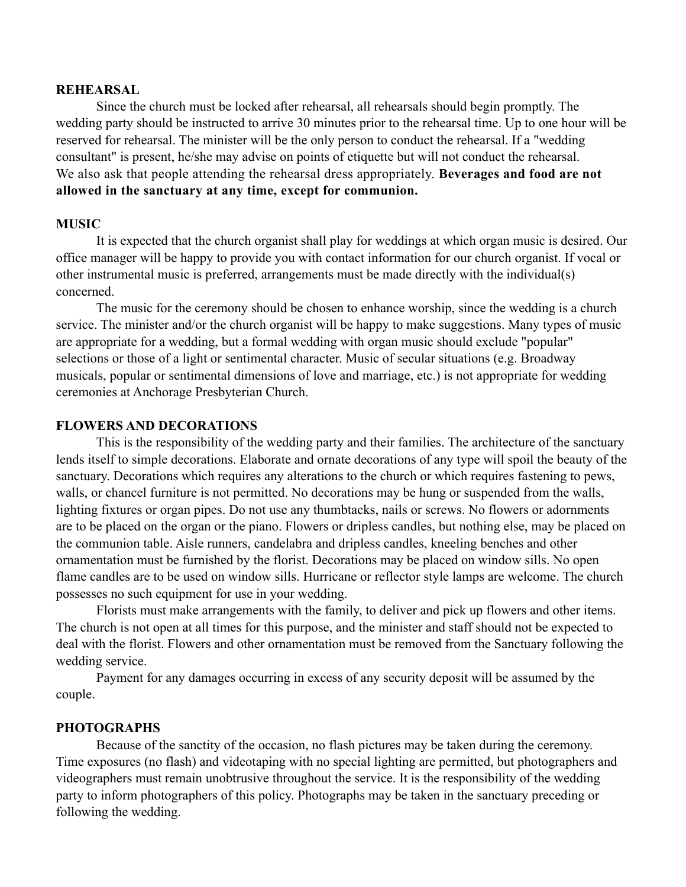#### **REHEARSAL**

Since the church must be locked after rehearsal, all rehearsals should begin promptly. The wedding party should be instructed to arrive 30 minutes prior to the rehearsal time. Up to one hour will be reserved for rehearsal. The minister will be the only person to conduct the rehearsal. If a "wedding consultant" is present, he/she may advise on points of etiquette but will not conduct the rehearsal. We also ask that people attending the rehearsal dress appropriately. **Beverages and food are not allowed in the sanctuary at any time, except for communion.**

#### **MUSIC**

It is expected that the church organist shall play for weddings at which organ music is desired. Our office manager will be happy to provide you with contact information for our church organist. If vocal or other instrumental music is preferred, arrangements must be made directly with the individual(s) concerned.

The music for the ceremony should be chosen to enhance worship, since the wedding is a church service. The minister and/or the church organist will be happy to make suggestions. Many types of music are appropriate for a wedding, but a formal wedding with organ music should exclude "popular" selections or those of a light or sentimental character. Music of secular situations (e.g. Broadway musicals, popular or sentimental dimensions of love and marriage, etc.) is not appropriate for wedding ceremonies at Anchorage Presbyterian Church.

## **FLOWERS AND DECORATIONS**

This is the responsibility of the wedding party and their families. The architecture of the sanctuary lends itself to simple decorations. Elaborate and ornate decorations of any type will spoil the beauty of the sanctuary. Decorations which requires any alterations to the church or which requires fastening to pews, walls, or chancel furniture is not permitted. No decorations may be hung or suspended from the walls, lighting fixtures or organ pipes. Do not use any thumbtacks, nails or screws. No flowers or adornments are to be placed on the organ or the piano. Flowers or dripless candles, but nothing else, may be placed on the communion table. Aisle runners, candelabra and dripless candles, kneeling benches and other ornamentation must be furnished by the florist. Decorations may be placed on window sills. No open flame candles are to be used on window sills. Hurricane or reflector style lamps are welcome. The church possesses no such equipment for use in your wedding.

Florists must make arrangements with the family, to deliver and pick up flowers and other items. The church is not open at all times for this purpose, and the minister and staff should not be expected to deal with the florist. Flowers and other ornamentation must be removed from the Sanctuary following the wedding service.

Payment for any damages occurring in excess of any security deposit will be assumed by the couple.

## **PHOTOGRAPHS**

Because of the sanctity of the occasion, no flash pictures may be taken during the ceremony. Time exposures (no flash) and videotaping with no special lighting are permitted, but photographers and videographers must remain unobtrusive throughout the service. It is the responsibility of the wedding party to inform photographers of this policy. Photographs may be taken in the sanctuary preceding or following the wedding.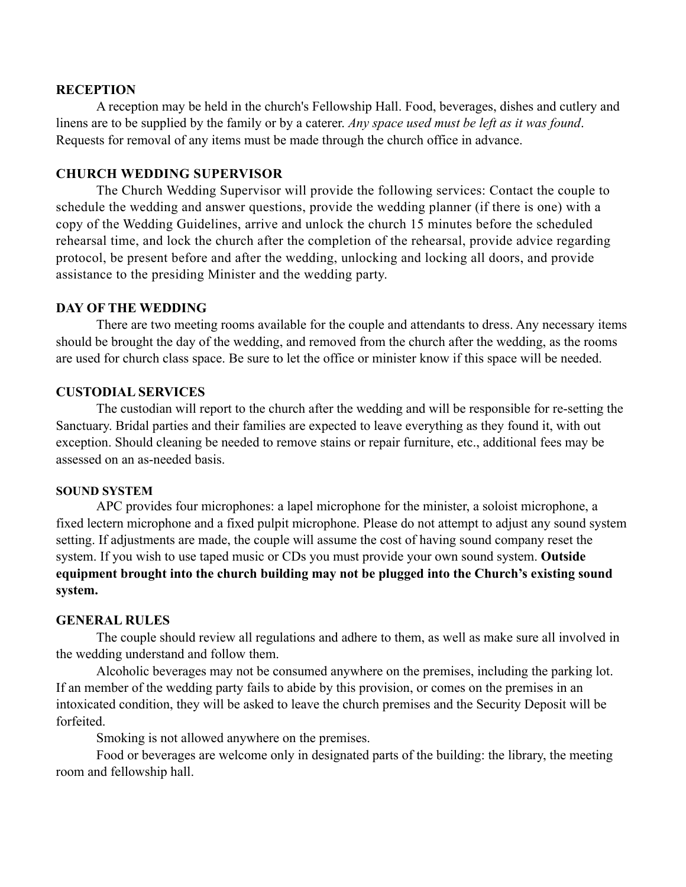#### **RECEPTION**

A reception may be held in the church's Fellowship Hall. Food, beverages, dishes and cutlery and linens are to be supplied by the family or by a caterer. *Any space used must be left as it was found*. Requests for removal of any items must be made through the church office in advance.

## **CHURCH WEDDING SUPERVISOR**

The Church Wedding Supervisor will provide the following services: Contact the couple to schedule the wedding and answer questions, provide the wedding planner (if there is one) with a copy of the Wedding Guidelines, arrive and unlock the church 15 minutes before the scheduled rehearsal time, and lock the church after the completion of the rehearsal, provide advice regarding protocol, be present before and after the wedding, unlocking and locking all doors, and provide assistance to the presiding Minister and the wedding party.

## **DAY OF THE WEDDING**

There are two meeting rooms available for the couple and attendants to dress. Any necessary items should be brought the day of the wedding, and removed from the church after the wedding, as the rooms are used for church class space. Be sure to let the office or minister know if this space will be needed.

#### **CUSTODIAL SERVICES**

 The custodian will report to the church after the wedding and will be responsible for re-setting the Sanctuary. Bridal parties and their families are expected to leave everything as they found it, with out exception. Should cleaning be needed to remove stains or repair furniture, etc., additional fees may be assessed on an as-needed basis.

#### **SOUND SYSTEM**

APC provides four microphones: a lapel microphone for the minister, a soloist microphone, a fixed lectern microphone and a fixed pulpit microphone. Please do not attempt to adjust any sound system setting. If adjustments are made, the couple will assume the cost of having sound company reset the system. If you wish to use taped music or CDs you must provide your own sound system. **Outside equipment brought into the church building may not be plugged into the Church's existing sound system.**

#### **GENERAL RULES**

 The couple should review all regulations and adhere to them, as well as make sure all involved in the wedding understand and follow them.

 Alcoholic beverages may not be consumed anywhere on the premises, including the parking lot. If an member of the wedding party fails to abide by this provision, or comes on the premises in an intoxicated condition, they will be asked to leave the church premises and the Security Deposit will be forfeited.

Smoking is not allowed anywhere on the premises.

 Food or beverages are welcome only in designated parts of the building: the library, the meeting room and fellowship hall.